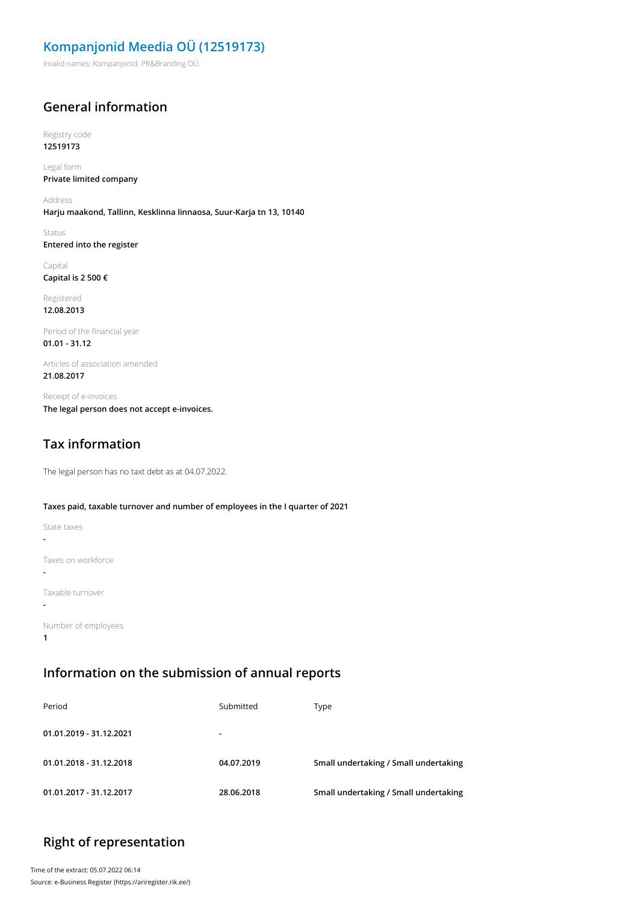# **Kompanjonid Meedia OÜ (12519173)**

Invalid names: Kompanjonid: PR&Branding OÜ.

#### **General information**

Registry code **12519173**

Legal form **Private limited company**

Address **Harju maakond, Tallinn, Kesklinna linnaosa, Suur-Karja tn 13, 10140**

Status **Entered into the register**

Capital **Capital is 2 500 €**

Registered **12.08.2013**

Period of the financial year **01.01 - 31.12**

Articles of association amended **21.08.2017**

Receipt of e-invoices **The legal person does not accept e-invoices.**

# **Tax information**

The legal person has no taxt debt as at 04.07.2022.

#### **Taxes paid, taxable turnover and number of employees in the I quarter of 2021**

| State taxes         |
|---------------------|
|                     |
| Taxes on workforce  |
| Taxable turnover    |
| Number of employees |

**1**

**Information on the submission of annual reports**

| Period                  | Submitted      | Type                                  |
|-------------------------|----------------|---------------------------------------|
| 01.01.2019 - 31.12.2021 | $\blacksquare$ |                                       |
| 01.01.2018 - 31.12.2018 | 04.07.2019     | Small undertaking / Small undertaking |
| 01.01.2017 - 31.12.2017 | 28.06.2018     | Small undertaking / Small undertaking |

### **Right of representation**